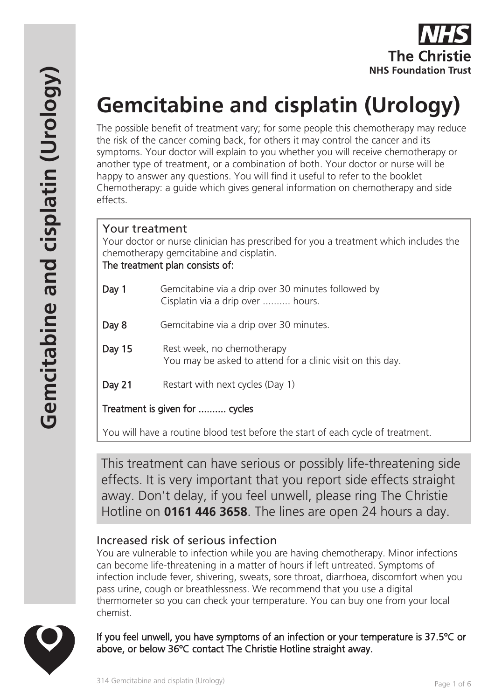

# **Gemcitabine and cisplatin (Urology)**

The possible benefit of treatment vary; for some people this chemotherapy may reduce the risk of the cancer coming back, for others it may control the cancer and its symptoms. Your doctor will explain to you whether you will receive chemotherapy or another type of treatment, or a combination of both. Your doctor or nurse will be happy to answer any questions. You will find it useful to refer to the booklet Chemotherapy: a guide which gives general information on chemotherapy and side effects.

## Your treatment

Your doctor or nurse clinician has prescribed for you a treatment which includes the chemotherapy gemcitabine and cisplatin.

The treatment plan consists of:

- Day 1 Gemcitabine via a drip over 30 minutes followed by Cisplatin via a drip over .......... hours.
- Day 8 Gemcitabine via a drip over 30 minutes.
- Day 15 Rest week, no chemotherapy You may be asked to attend for a clinic visit on this day.
- Day 21 Restart with next cycles (Day 1)

Treatment is given for .......... cycles

You will have a routine blood test before the start of each cycle of treatment.

This treatment can have serious or possibly life-threatening side effects. It is very important that you report side effects straight away. Don't delay, if you feel unwell, please ring The Christie Hotline on **0161 446 3658**. The lines are open 24 hours a day.

# Increased risk of serious infection

You are vulnerable to infection while you are having chemotherapy. Minor infections can become life-threatening in a matter of hours if left untreated. Symptoms of infection include fever, shivering, sweats, sore throat, diarrhoea, discomfort when you pass urine, cough or breathlessness. We recommend that you use a digital thermometer so you can check your temperature. You can buy one from your local chemist.



If you feel unwell, you have symptoms of an infection or your temperature is 37.5ºC or above, or below 36ºC contact The Christie Hotline straight away.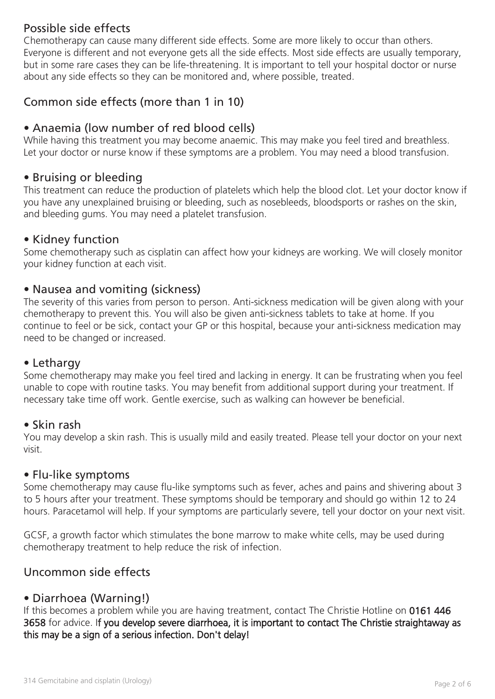# Possible side effects

Chemotherapy can cause many different side effects. Some are more likely to occur than others. Everyone is different and not everyone gets all the side effects. Most side effects are usually temporary, but in some rare cases they can be life-threatening. It is important to tell your hospital doctor or nurse about any side effects so they can be monitored and, where possible, treated.

# Common side effects (more than 1 in 10)

# • Anaemia (low number of red blood cells)

While having this treatment you may become anaemic. This may make you feel tired and breathless. Let your doctor or nurse know if these symptoms are a problem. You may need a blood transfusion.

### • Bruising or bleeding

This treatment can reduce the production of platelets which help the blood clot. Let your doctor know if you have any unexplained bruising or bleeding, such as nosebleeds, bloodsports or rashes on the skin, and bleeding gums. You may need a platelet transfusion.

#### • Kidney function

Some chemotherapy such as cisplatin can affect how your kidneys are working. We will closely monitor your kidney function at each visit.

#### • Nausea and vomiting (sickness)

The severity of this varies from person to person. Anti-sickness medication will be given along with your chemotherapy to prevent this. You will also be given anti-sickness tablets to take at home. If you continue to feel or be sick, contact your GP or this hospital, because your anti-sickness medication may need to be changed or increased.

#### • Lethargy

Some chemotherapy may make you feel tired and lacking in energy. It can be frustrating when you feel unable to cope with routine tasks. You may benefit from additional support during your treatment. If necessary take time off work. Gentle exercise, such as walking can however be beneficial.

#### • Skin rash

You may develop a skin rash. This is usually mild and easily treated. Please tell your doctor on your next visit.

#### • Flu-like symptoms

Some chemotherapy may cause flu-like symptoms such as fever, aches and pains and shivering about 3 to 5 hours after your treatment. These symptoms should be temporary and should go within 12 to 24 hours. Paracetamol will help. If your symptoms are particularly severe, tell your doctor on your next visit.

GCSF, a growth factor which stimulates the bone marrow to make white cells, may be used during chemotherapy treatment to help reduce the risk of infection.

### Uncommon side effects

### • Diarrhoea (Warning!)

If this becomes a problem while you are having treatment, contact The Christie Hotline on 0161 446 3658 for advice. If you develop severe diarrhoea, it is important to contact The Christie straightaway as this may be a sign of a serious infection. Don't delay!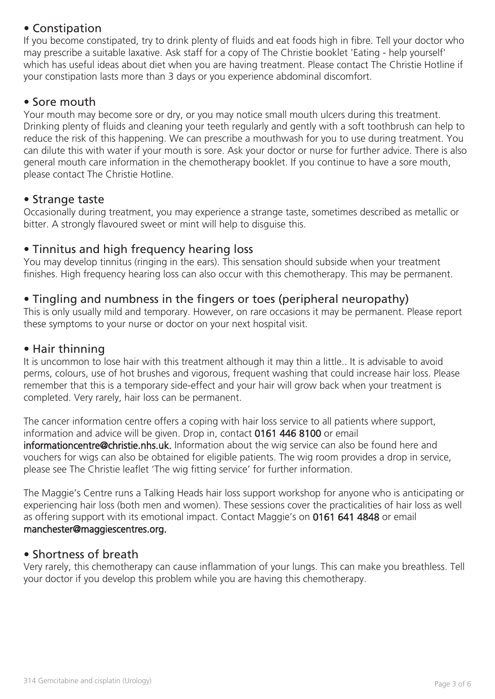# • Constipation

If you become constipated, try to drink plenty of fluids and eat foods high in fibre. Tell your doctor who may prescribe a suitable laxative. Ask staff for a copy of The Christie booklet 'Eating - help yourself' which has useful ideas about diet when you are having treatment. Please contact The Christie Hotline if your constipation lasts more than 3 days or you experience abdominal discomfort.

## • Sore mouth

Your mouth may become sore or dry, or you may notice small mouth ulcers during this treatment. Drinking plenty of fluids and cleaning your teeth regularly and gently with a soft toothbrush can help to reduce the risk of this happening. We can prescribe a mouthwash for you to use during treatment. You can dilute this with water if your mouth is sore. Ask your doctor or nurse for further advice. There is also general mouth care information in the chemotherapy booklet. If you continue to have a sore mouth, please contact The Christie Hotline.

### • Strange taste

Occasionally during treatment, you may experience a strange taste, sometimes described as metallic or bitter. A strongly flavoured sweet or mint will help to disguise this.

## • Tinnitus and high frequency hearing loss

You may develop tinnitus (ringing in the ears). This sensation should subside when your treatment finishes. High frequency hearing loss can also occur with this chemotherapy. This may be permanent.

# • Tingling and numbness in the fingers or toes (peripheral neuropathy)

This is only usually mild and temporary. However, on rare occasions it may be permanent. Please report these symptoms to your nurse or doctor on your next hospital visit.

## • Hair thinning

It is uncommon to lose hair with this treatment although it may thin a little.. It is advisable to avoid perms, colours, use of hot brushes and vigorous, frequent washing that could increase hair loss. Please remember that this is a temporary side-effect and your hair will grow back when your treatment is completed. Very rarely, hair loss can be permanent.

The cancer information centre offers a coping with hair loss service to all patients where support, information and advice will be given. Drop in, contact 0161 446 8100 or email informationcentre@christie.nhs.uk. Information about the wig service can also be found here and vouchers for wigs can also be obtained for eligible patients. The wig room provides a drop in service, please see The Christie leaflet 'The wig fitting service' for further information.

The Maggie's Centre runs a Talking Heads hair loss support workshop for anyone who is anticipating or experiencing hair loss (both men and women). These sessions cover the practicalities of hair loss as well as offering support with its emotional impact. Contact Maggie's on 0161 641 4848 or email manchester@maggiescentres.org.

## • Shortness of breath

Very rarely, this chemotherapy can cause inflammation of your lungs. This can make you breathless. Tell your doctor if you develop this problem while you are having this chemotherapy.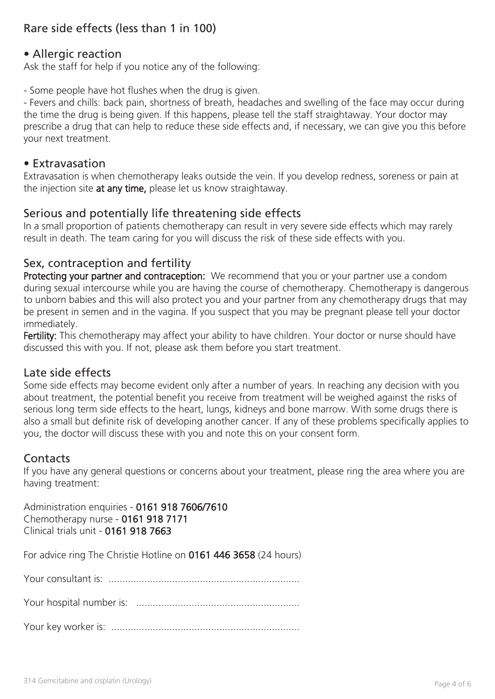# Rare side effects (less than 1 in 100)

## • Allergic reaction

Ask the staff for help if you notice any of the following:

- Some people have hot flushes when the drug is given.

- Fevers and chills: back pain, shortness of breath, headaches and swelling of the face may occur during the time the drug is being given. If this happens, please tell the staff straightaway. Your doctor may prescribe a drug that can help to reduce these side effects and, if necessary, we can give you this before your next treatment.

#### • Extravasation

Extravasation is when chemotherapy leaks outside the vein. If you develop redness, soreness or pain at the injection site at any time, please let us know straightaway.

## Serious and potentially life threatening side effects

In a small proportion of patients chemotherapy can result in very severe side effects which may rarely result in death. The team caring for you will discuss the risk of these side effects with you.

### Sex, contraception and fertility

Protecting your partner and contraception: We recommend that you or your partner use a condom during sexual intercourse while you are having the course of chemotherapy. Chemotherapy is dangerous to unborn babies and this will also protect you and your partner from any chemotherapy drugs that may be present in semen and in the vagina. If you suspect that you may be pregnant please tell your doctor immediately.

Fertility: This chemotherapy may affect your ability to have children. Your doctor or nurse should have discussed this with you. If not, please ask them before you start treatment.

#### Late side effects

Some side effects may become evident only after a number of years. In reaching any decision with you about treatment, the potential benefit you receive from treatment will be weighed against the risks of serious long term side effects to the heart, lungs, kidneys and bone marrow. With some drugs there is also a small but definite risk of developing another cancer. If any of these problems specifically applies to you, the doctor will discuss these with you and note this on your consent form.

### **Contacts**

If you have any general questions or concerns about your treatment, please ring the area where you are having treatment:

Administration enquiries - 0161 918 7606/7610 Chemotherapy nurse - 0161 918 7171 Clinical trials unit - 0161 918 7663

For advice ring The Christie Hotline on 0161 446 3658 (24 hours)

Your consultant is: .....................................................................

Your hospital number is: ...........................................................

Your key worker is: ....................................................................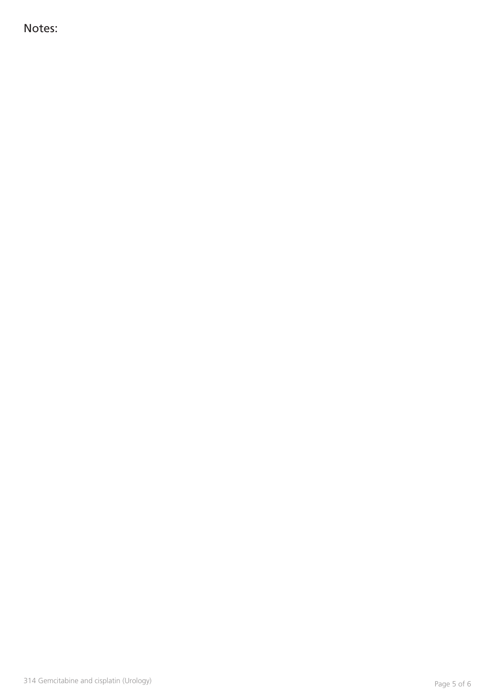Notes: